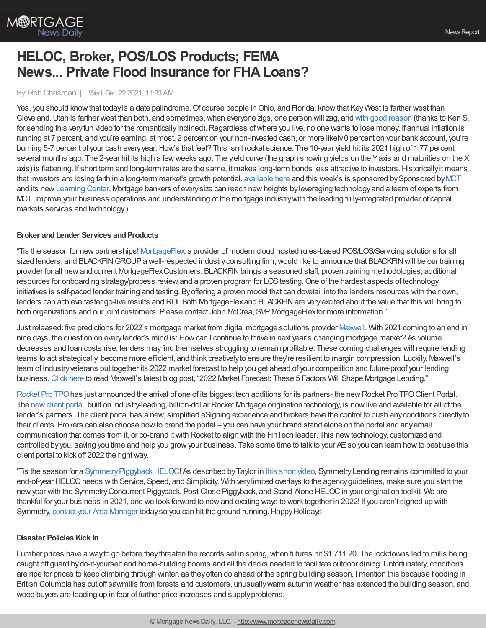

# **HELOC, Broker, POS/LOS Products; FEMA News... Private Flood Insurance for FHA Loans?**

### By:Rob Chrisman | Wed, Dec 22 2021, 11:23 AM

Yes, you should know that today is a date palindrome. Of course people in Ohio, and Florida, know that Key West is farther west than Cleveland. Utah is farther west than both, and sometimes, when everyone zigs, one person will zag, and with good [reason](https://twitter.com/WorldWideWob/status/1473138347744714752) (thanks to Ken S. for sending this very fun video for the romantically inclined). Regardless of where you live, no one wants to lose money. If annual inflation is running at 7 percent, and you're earning, at most, 2 percent on your non-invested cash, or more likely0 percent on your bank account, you're burning 5-7 percent of your cash everyyear.How's that feel? This isn't rocket science. The 10-year yield hit its 2021 high of 1.77 percent several months ago. The 2-year hit its high a few weeks ago. The yield curve (the graph showing yields on the Yaxis and maturities on the X axis) is flattening. If short term and long-term rates are the same, it makes long-term bonds less attractive to investors.Historicallyit means that investors are losing faith in a long-term market's growth potential. [available](https://linktr.ee/dailymortgagenews) here and this week's is sponsored by Sponsored by [MCT](https://mct-trading.com/?utm_source=Chrisman&utm_medium=Email&utm_campaign=Podcast) and its new[Learning](https://mct-trading.com/learn?utm_source=Chrisman&utm_medium=Email&utm_campaign=Podcast) Center. Mortgage bankers of everysize can reach newheights byleveraging technologyand a team of experts from MCT. Improve your business operations and understanding of the mortgage industrywith the leading fully-integrated provider of capital markets services and technology.)

#### **Broker** and Lender Services and Products

"Tis the season for new partnerships! [MortgageFlex,](https://mortgageflex.com/about-us/) a provider of modern cloud hosted rules-based POS/LOS/Servicing solutions for all sized lenders, and BLACKFIN GROUP a well-respected industry consulting firm, would like to announce that BLACKFIN will be our training provider for all new and current MortgageFlex Customers. BLACKFIN brings a seasoned staff, proven training methodologies, additional resources for onboarding strategy/process review and a proven program for LOS testing. One of the hardest aspects of technology initiatives is self-paced lender training and testing. Byoffering a proven model that can dovetail into the lenders resources with their own, lenders can achieve faster go-live results and ROI. Both MortgageFlex and BLACKFIN are very excited about the value that this will bring to both organizations and our joint customers. Please contact John McCrea, SVP MortgageFlex for more information."

Just released: five predictions for 2022's mortgage market from digital mortgage solutions provider [Maxwell.](https://himaxwell.com/?utm_source=RC&utm_medium=RC_CTA) With 2021 coming to an end in nine days, the question on every lender's mind is: How can I continue to thrive in next year's changing mortgage market? As volume decreases and loan costs rise, lenders mayfind themselves struggling to remain profitable. These coming challenges will require lending teams to act strategically, become more efficient, and think creativelyto ensure they're resilient to margin compression. Luckily, Maxwell's team of industryveterans put together its 2022 market forecast to help you get ahead of your competition and future-proof your lending business. [Click](https://himaxwell.com/resources/blog/2022-market-forecast/?utm_source=RC&utm_medium=RC_CTA) here to read Maxwell's latest blog post, "2022 Market Forecast: These 5 Factors Will Shape Mortgage Lending."

[Rocket](https://www.rocketprotpo.com/) Pro TPO has just announced the arrival of one of its biggest tech additions for its partners- the new Rocket Pro TPO Client Portal. The [newclient](https://www.youtube.com/watch?v=CACB-rPJKM4&list=PL2VGQ9OENrbIb-semtJ2q9RfasxnoIlBY&index=1) portal, built on industry-leading, billion-dollar Rocket Mortgage origination technology, is nowlive and available for all of the lender's partners. The client portal has a new, simplified eSigning experience and brokers have the control to push anyconditions directlyto their clients. Brokers can also choose howto brand the portal – you can have your brand stand alone on the portal and anyemail communication that comes from it, or co-brand itwith Rocket to align with the FinTech leader. This newtechnology, customized and controlled byyou, saving you time and help you growyour business. Take some time to talk to your AEso you can learn howto best use this client portal to kick off 2022 the right way.

'Tis the season for a Symmetry Piggyback HELOC! As described by Taylor in this short [video,](https://vimeo.com/657063644) Symmetry Lending remains committed to your end-of-year HELOC needs with Service, Speed, and Simplicity. With very limited overlays to the agency guidelines, make sure you start the newyear with the SymmetryConcurrent Piggyback, Post-Close Piggyback, and Stand-Alone HELOCin your origination toolkit. We are thankful for your business in 2021, and we look forward to newand exciting ways to work together in 2022! If you aren't signed up with Symmetry, contact your Area [Manager](https://symmetrylending.com/areamanager/) today so you can hit the ground running. Happy Holidays!

## **Disaster Policies Kick In**

Lumber prices have a way to go before they threaten the records set in spring, when futures hit \$1,711.20. The lockdowns led to mills being caught off guard by do-it-yourself and home-building booms and all the decks needed to facilitate outdoor dining. Unfortunately, conditions are ripe for prices to keep climbing through winter, as theyoften do ahead of the spring building season. I mention this because flooding in British Columbia has cut off sawmills from forests and customers, unusuallywarm autumn weather has extended the building season, and wood buyers are loading up in fear of further price increases and supplyproblems.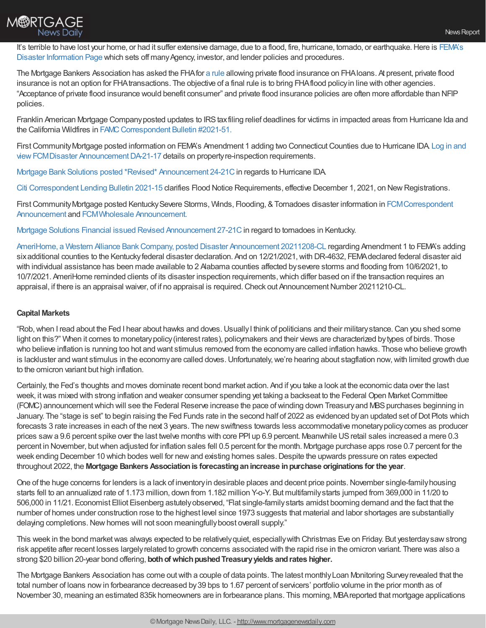

It's terrible to have lost your home, or had it suffer extensive damage, due to a flood, fire, hurricane, tornado, or earthquake. Here is FEMA's Disaster Information Page which sets off many Agency, investor, and lender policies and procedures.

The Mortgage Bankers Association has asked the FHA for a [rule](https://www.govinfo.gov/content/pkg/FR-2020-11-23/pdf/2020-25105.pdf#page=1) allowing private flood insurance on FHA loans. At present, private flood insurance is not an option for FHAtransactions. The objective of a final rule is to bring FHAflood policyin line with other agencies. "Acceptance of private flood insurance would benefit consumer" and private flood insurance policies are often more affordable than NFIP policies.

Franklin American Mortgage Company posted updates to IRS taxfiling relief deadlines for victims in impacted areas from Hurricane Ida and the California Wildfires in FAMC Correspondent Bulletin #2021-51.

First Community Mortgage posted information on FEMA's Amendment 1 adding two Connecticut Counties due to Hurricane IDA Log in and view FCMDisaster Announcement DA-21-17 details on property re-inspection requirements.

Mortgage Bank Solutions posted [\\*Revised\\*](https://na01.safelinks.protection.outlook.com/?url=https%253A%252F%252Fr20.rs6.net%252Ftn.jsp%253Ff%253D001VFY4FeCF0y_po9VW3fn2XjfFM1-1KyTbAUcPMlB-_1Sgs6VtvVu0aTB_t-KmMQ7RSkMHAFELD9oRoVLylrRmh2hAsxb-pEM4tfUWWsz92zdcxeJJmcOTjUqruIOiBUL8WqnShd5Hl2xKB1D1QU-U4OZJdn8aFj1_-X1VUcCEkIGjI5syT66bWWRRaiWCLFCH3Pjlkg_yMWYiGEFIHkyIBuxE7539N0efYUdMQK9Fhtg%253D%2526c%253DylcWmTfaSaED03I0LaBubh0mWRCCxjY3eKqpQ7_-jDfH6KbrkDERRg%253D%253D%2526ch%253D9-gtcU6GoTJ5M17WIILqoD3TSG8RsXDn77yO0NGbz-AfPIx_PHyYsA%253D%253D&data=04%257C01%257C%257Ce02f1f77fec74548bce708d9b5f1cc9d%257C84df9e7fe9f640afb435aaaaaaaaaaaa%257C1%257C0%257C637740872432788908%257CUnknown%257CTWFpbGZsb3d8eyJWIjoiMC4wLjAwMDAiLCJQIjoiV2luMzIiLCJBTiI6Ik1haWwiLCJXVCI6Mn0%253D%257C3000&sdata=q8ucapVOKc59wS5xw%252BPYo%252Fiyc5Kb9TXD3tBPWMpemmg%253D&reserved=0) [Announcement](https://na01.safelinks.protection.outlook.com/?url=https%253A%252F%252Fr20.rs6.net%252Ftn.jsp%253Ff%253D001VFY4FeCF0y_po9VW3fn2XjfFM1-1KyTbAUcPMlB-_1Sgs6VtvVu0aQVUGeZ0M2VU6e9BQkKSQMIp_sHbAHbjOcPxjaHUchGx0NO1ksBUKQci89TJA0-2geCUhU8wMO5NqBXyEcMlnU4q9rmSiM3sPipnPOoP27j3_MyxLK4sL8gfO5LVV9pIGAHodpD2MJGKEfzakdCmDierlGz4MhLQNHaEpyT6hwD8hj0fMkMufzc%253D%2526c%253DylcWmTfaSaED03I0LaBubh0mWRCCxjY3eKqpQ7_-jDfH6KbrkDERRg%253D%253D%2526ch%253D9-gtcU6GoTJ5M17WIILqoD3TSG8RsXDn77yO0NGbz-AfPIx_PHyYsA%253D%253D&data=04%257C01%257C%257Ce02f1f77fec74548bce708d9b5f1cc9d%257C84df9e7fe9f640afb435aaaaaaaaaaaa%257C1%257C0%257C637740872432788908%257CUnknown%257CTWFpbGZsb3d8eyJWIjoiMC4wLjAwMDAiLCJQIjoiV2luMzIiLCJBTiI6Ik1haWwiLCJXVCI6Mn0%253D%257C3000&sdata=VMlmME%252FpccFftEHTDUrSXrzuOdoUGc7xBCgvOD8nR00%253D&reserved=0) 24-21C in regards to Hurricane IDA

Citi [Correspondent](https://portal.citi.sellerdigital.bkicloud.com/login?returnUrl=%252F) Lending Bulletin 2021-15 clarifies Flood Notice Requirements, effective December 1, 2021, on NewRegistrations.

First Community Mortgage posted Kentucky Severe Storms, Winds, Flooding, & Tornadoes disaster information in FCM Correspondent Announcement and [FCMWholesale](https://1663022307.encompasstpoconnect.com/#/content/home_95118) Announcement.

Mortgage Solutions Financial issued Revised [Announcement](https://na01.safelinks.protection.outlook.com/?url=https%253A%252F%252Fr20.rs6.net%252Ftn.jsp%253Ff%253D001tFAL3t9AeWQbj6gPHfqmail5yit6f3c229UMeLsOD0tZSkW_BNgNBqrMYgHZMsUydj0hIpjgUKoGfl6kRdHP2H7C9v3ANW5YqYJmKsBSonBl66dkMeEj33QFLvpyUVYmiNWgf29IsLNgO92zdKIrHZ2VOCrvIhpvDeciW80e5zxpRP35RE6FDava5pIOGbh1fqUb04W2mLbWW4_IMnmajrPtRtZzWu0WMhuTVFD2ACY%253D%2526c%253DLdm1LztuzsrFS_I-ZS68uPnr3ARWTRO3-2ogVW-ukFu2MTIXbBn6KA%253D%253D%2526ch%253DWrlkNoi9fFjUuEbGGXDN_ETBQ4j4nA7Nc_Rbn0rE5Ik4yBw2h9hEqg%253D%253D&data=04%257C01%257C%257C6c7875d231994d5ce23208d9c17a3242%257C84df9e7fe9f640afb435aaaaaaaaaaaa%257C1%257C0%257C637753552839097500%257CUnknown%257CTWFpbGZsb3d8eyJWIjoiMC4wLjAwMDAiLCJQIjoiV2luMzIiLCJBTiI6Ik1haWwiLCJXVCI6Mn0%253D%257C3000&sdata=zdnPBcmdcGbKhtjCmgG%252BfuM2BbzJ%252FhTrsbQBdtIBBuw%253D&reserved=0) 27-21C in regard to tornadoes in Kentucky.

AmeriHome, a Western Alliance Bank Company, posted Disaster Announcement 20211208-CL regarding Amendment 1 to FEMA's adding six additional counties to the Kentucky federal disaster declaration. And on 12/21/2021, with DR-4632, FEMA declared federal disaster aid with individual assistance has been made available to 2 Alabama counties affected bysevere storms and flooding from 10/6/2021, to 10/7/2021. AmeriHome reminded clients of its disaster inspection requirements,which differ based on if the transaction requires an appraisal, if there is an appraisal waiver, of if no appraisal is required. Check out Announcement Number 20211210-CL.

## **Capital Markets**

"Rob, when I read about the Fed I hear about hawks and doves. Usually I think of politicians and their military stance. Can you shed some light on this?" When it comes to monetarypolicy(interest rates), policymakers and their views are characterized bytypes of birds. Those who believe inflation is running too hot and want stimulus removed from the economyare called inflation hawks. Those who believe growth is lackluster and want stimulus in the economy are called doves. Unfortunately, we're hearing about stagflation now, with limited growth due to the omicron variant but high inflation.

Certainly, the Fed's thoughts and moves dominate recent bond market action. And if you take a look at the economic data over the last week, it was mixed with strong inflation and weaker consumer spending yet taking a backseat to the Federal Open Market Committee (FOMC) announcement which will see the Federal Reserve increase the pace of winding down Treasury and MBS purchases beginning in January. The "stage is set" to begin raising the Fed Funds rate in the second half of 2022 as evidenced byan updated set ofDot Plots which forecasts 3 rate increases in each of the next 3 years. The new swiftness towards less accommodative monetary policy comes as producer prices sawa 9.6 percent spike over the last twelve months with core PPI up 6.9 percent. Meanwhile USretail sales increased a mere 0.3 percent in November, butwhen adjusted for inflation sales fell 0.5 percent for the month. Mortgage purchase apps rose 0.7 percent for the week ending December 10 which bodes well for newand existing homes sales.Despite the upwards pressure on rates expected throughout 2022, the **Mortgage Bankers Associationis forecastinganincrease inpurchase originations for the year**.

One of the huge concerns for lenders is a lack of inventory in desirable places and decent price points. November single-family housing starts fell to an annualized rate of 1.173 million, down from 1.182 million Y-o-Y. But multifamilystarts jumped from 369,000 in 11/20 to 506,000 in 11/21. Economist Elliot Eisenberg astutelyobserved, "Flat single-familystarts amidst booming demand and the fact that the number of homes under construction rose to the highest level since 1973 suggests that material and labor shortages are substantially delaying completions. New homes will not soon meaningfully boost overall supply."

This week in the bond market was always expected to be relatively quiet, especially with Christmas Eve on Friday. But yesterday saw strong risk appetite after recent losses largelyrelated to growth concerns associated with the rapid rise in the omicron variant. There was also a strong \$20 billion 20-year bond offering, both of which pushed Treasury yields and rates higher.

The Mortgage Bankers Association has come out with a couple of data points. The latest monthly Loan Monitoring Survey revealed that the total number of loans nowin forbearance decreased by39 bps to 1.67 percent of servicers' portfolio volume in the prior month as of November 30, meaning an estimated 835k homeowners are in forbearance plans. This morning, MBAreported that mortgage applications